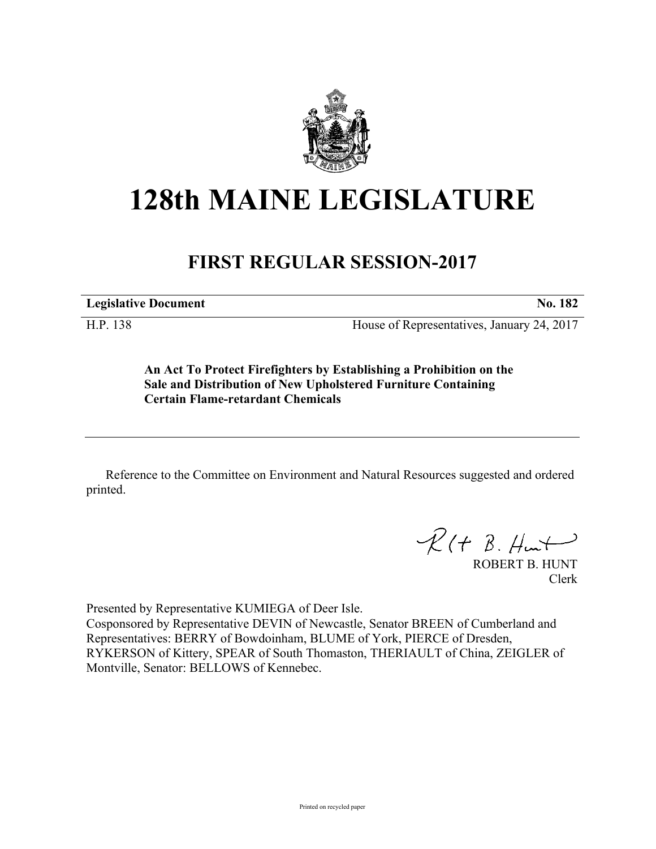

## **128th MAINE LEGISLATURE**

## **FIRST REGULAR SESSION-2017**

**Legislative Document No. 182**

H.P. 138 House of Representatives, January 24, 2017

**An Act To Protect Firefighters by Establishing a Prohibition on the Sale and Distribution of New Upholstered Furniture Containing Certain Flame-retardant Chemicals**

Reference to the Committee on Environment and Natural Resources suggested and ordered printed.

 $R(H B. H<sub>un</sub>+)$ 

ROBERT B. HUNT Clerk

Presented by Representative KUMIEGA of Deer Isle. Cosponsored by Representative DEVIN of Newcastle, Senator BREEN of Cumberland and Representatives: BERRY of Bowdoinham, BLUME of York, PIERCE of Dresden, RYKERSON of Kittery, SPEAR of South Thomaston, THERIAULT of China, ZEIGLER of Montville, Senator: BELLOWS of Kennebec.